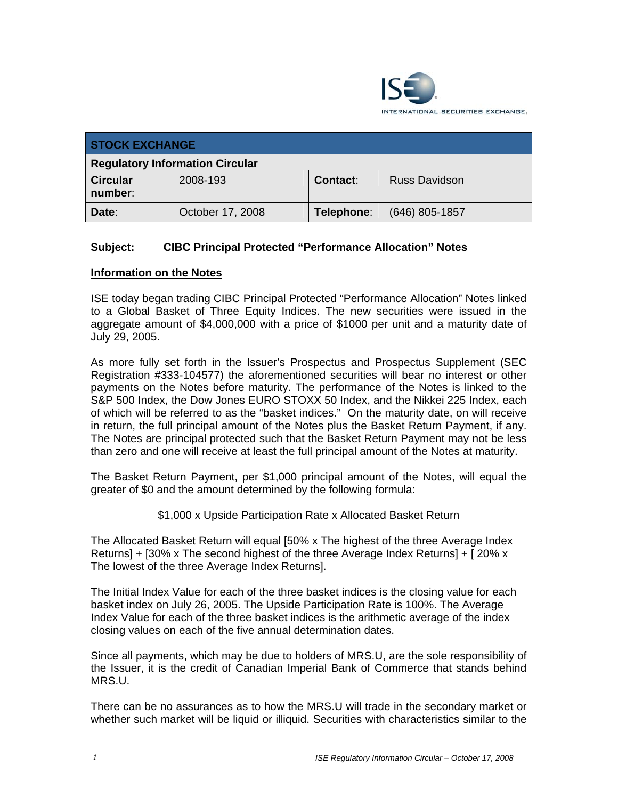

| <b>STOCK EXCHANGE</b>                  |                  |                 |                      |  |
|----------------------------------------|------------------|-----------------|----------------------|--|
| <b>Regulatory Information Circular</b> |                  |                 |                      |  |
| <b>Circular</b><br>number:             | 2008-193         | <b>Contact:</b> | <b>Russ Davidson</b> |  |
| Date:                                  | October 17, 2008 | Telephone:      | $(646)$ 805-1857     |  |

## **Subject: CIBC Principal Protected "Performance Allocation" Notes**

## **Information on the Notes**

ISE today began trading CIBC Principal Protected "Performance Allocation" Notes linked to a Global Basket of Three Equity Indices. The new securities were issued in the aggregate amount of \$4,000,000 with a price of \$1000 per unit and a maturity date of July 29, 2005.

As more fully set forth in the Issuer's Prospectus and Prospectus Supplement (SEC Registration #333-104577) the aforementioned securities will bear no interest or other payments on the Notes before maturity. The performance of the Notes is linked to the S&P 500 Index, the Dow Jones EURO STOXX 50 Index, and the Nikkei 225 Index, each of which will be referred to as the "basket indices." On the maturity date, on will receive in return, the full principal amount of the Notes plus the Basket Return Payment, if any. The Notes are principal protected such that the Basket Return Payment may not be less than zero and one will receive at least the full principal amount of the Notes at maturity.

The Basket Return Payment, per \$1,000 principal amount of the Notes, will equal the greater of \$0 and the amount determined by the following formula:

\$1,000 x Upside Participation Rate x Allocated Basket Return

The Allocated Basket Return will equal [50% x The highest of the three Average Index Returns] + [30% x The second highest of the three Average Index Returns] + [ 20% x The lowest of the three Average Index Returns].

The Initial Index Value for each of the three basket indices is the closing value for each basket index on July 26, 2005. The Upside Participation Rate is 100%. The Average Index Value for each of the three basket indices is the arithmetic average of the index closing values on each of the five annual determination dates.

Since all payments, which may be due to holders of MRS.U, are the sole responsibility of the Issuer, it is the credit of Canadian Imperial Bank of Commerce that stands behind MRS.U.

There can be no assurances as to how the MRS.U will trade in the secondary market or whether such market will be liquid or illiquid. Securities with characteristics similar to the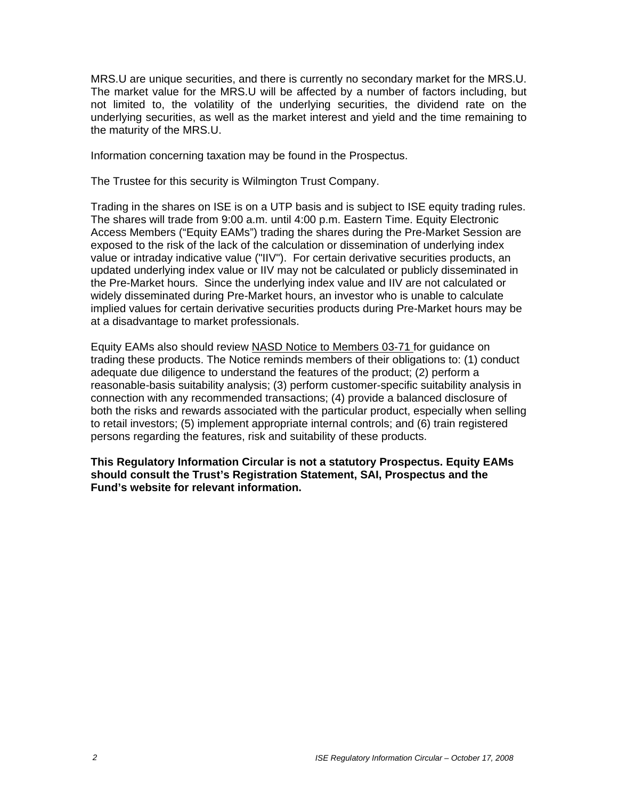MRS.U are unique securities, and there is currently no secondary market for the MRS.U. The market value for the MRS.U will be affected by a number of factors including, but not limited to, the volatility of the underlying securities, the dividend rate on the underlying securities, as well as the market interest and yield and the time remaining to the maturity of the MRS.U.

Information concerning taxation may be found in the Prospectus.

The Trustee for this security is Wilmington Trust Company.

Trading in the shares on ISE is on a UTP basis and is subject to ISE equity trading rules. The shares will trade from 9:00 a.m. until 4:00 p.m. Eastern Time. Equity Electronic Access Members ("Equity EAMs") trading the shares during the Pre-Market Session are exposed to the risk of the lack of the calculation or dissemination of underlying index value or intraday indicative value ("IIV"). For certain derivative securities products, an updated underlying index value or IIV may not be calculated or publicly disseminated in the Pre-Market hours. Since the underlying index value and IIV are not calculated or widely disseminated during Pre-Market hours, an investor who is unable to calculate implied values for certain derivative securities products during Pre-Market hours may be at a disadvantage to market professionals.

Equity EAMs also should review NASD Notice to Members 03-71 for guidance on trading these products. The Notice reminds members of their obligations to: (1) conduct adequate due diligence to understand the features of the product; (2) perform a reasonable-basis suitability analysis; (3) perform customer-specific suitability analysis in connection with any recommended transactions; (4) provide a balanced disclosure of both the risks and rewards associated with the particular product, especially when selling to retail investors; (5) implement appropriate internal controls; and (6) train registered persons regarding the features, risk and suitability of these products.

**This Regulatory Information Circular is not a statutory Prospectus. Equity EAMs should consult the Trust's Registration Statement, SAI, Prospectus and the Fund's website for relevant information.**